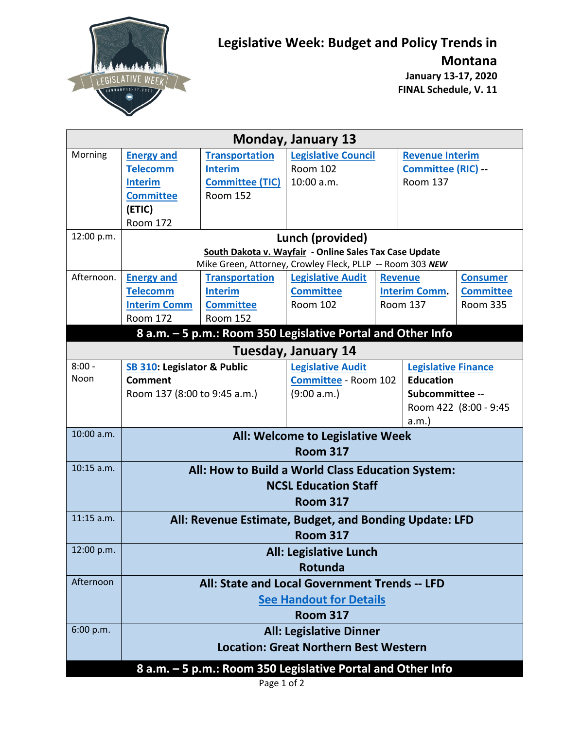

## **Legislative Week: Budget and Policy Trends in**

**Montana**

**January 13-17, 2020 FINAL Schedule, V. 11**

| <b>Monday, January 13</b>                                   |                                                        |                          |                                                             |                      |                            |                  |  |  |  |  |  |  |
|-------------------------------------------------------------|--------------------------------------------------------|--------------------------|-------------------------------------------------------------|----------------------|----------------------------|------------------|--|--|--|--|--|--|
| Morning                                                     | <b>Energy and</b>                                      | <b>Transportation</b>    | <b>Legislative Council</b>                                  |                      | <b>Revenue Interim</b>     |                  |  |  |  |  |  |  |
|                                                             | <b>Telecomm</b>                                        | <b>Interim</b>           | <b>Room 102</b>                                             |                      | Committee (RIC) --         |                  |  |  |  |  |  |  |
|                                                             | <b>Interim</b>                                         | <b>Committee (TIC)</b>   | 10:00 a.m.                                                  |                      | <b>Room 137</b>            |                  |  |  |  |  |  |  |
|                                                             | <b>Committee</b>                                       | <b>Room 152</b>          |                                                             |                      |                            |                  |  |  |  |  |  |  |
|                                                             | (ETIC)                                                 |                          |                                                             |                      |                            |                  |  |  |  |  |  |  |
|                                                             | <b>Room 172</b>                                        |                          |                                                             |                      |                            |                  |  |  |  |  |  |  |
| 12:00 p.m.                                                  | Lunch (provided)                                       |                          |                                                             |                      |                            |                  |  |  |  |  |  |  |
|                                                             | South Dakota v. Wayfair - Online Sales Tax Case Update |                          |                                                             |                      |                            |                  |  |  |  |  |  |  |
|                                                             |                                                        |                          | Mike Green, Attorney, Crowley Fleck, PLLP -- Room 303 NEW   |                      |                            |                  |  |  |  |  |  |  |
| Afternoon.                                                  | <b>Energy and</b>                                      | <b>Transportation</b>    | <b>Legislative Audit</b>                                    |                      | <b>Revenue</b>             | <b>Consumer</b>  |  |  |  |  |  |  |
|                                                             | <b>Telecomm</b>                                        | <b>Interim</b>           | <b>Committee</b>                                            |                      | <b>Interim Comm.</b>       | <b>Committee</b> |  |  |  |  |  |  |
|                                                             | <b>Interim Comm</b>                                    | <b>Committee</b>         | <b>Room 102</b>                                             |                      | <b>Room 137</b>            | <b>Room 335</b>  |  |  |  |  |  |  |
|                                                             | <b>Room 172</b>                                        | <b>Room 152</b>          |                                                             |                      |                            |                  |  |  |  |  |  |  |
| 8 a.m. - 5 p.m.: Room 350 Legislative Portal and Other Info |                                                        |                          |                                                             |                      |                            |                  |  |  |  |  |  |  |
| <b>Tuesday, January 14</b>                                  |                                                        |                          |                                                             |                      |                            |                  |  |  |  |  |  |  |
| $8:00 -$                                                    | SB 310: Legislator & Public                            | <b>Legislative Audit</b> |                                                             |                      | <b>Legislative Finance</b> |                  |  |  |  |  |  |  |
| Noon                                                        | <b>Comment</b>                                         |                          |                                                             | Committee - Room 102 |                            | <b>Education</b> |  |  |  |  |  |  |
|                                                             | Room 137 (8:00 to 9:45 a.m.)                           |                          | (9:00 a.m.)                                                 |                      | Subcommittee --            |                  |  |  |  |  |  |  |
|                                                             |                                                        |                          |                                                             |                      | Room 422 (8:00 - 9:45      |                  |  |  |  |  |  |  |
|                                                             |                                                        |                          | a.m.                                                        |                      |                            |                  |  |  |  |  |  |  |
| 10:00 a.m.                                                  | All: Welcome to Legislative Week                       |                          |                                                             |                      |                            |                  |  |  |  |  |  |  |
|                                                             | <b>Room 317</b>                                        |                          |                                                             |                      |                            |                  |  |  |  |  |  |  |
| $10:15$ a.m.                                                | All: How to Build a World Class Education System:      |                          |                                                             |                      |                            |                  |  |  |  |  |  |  |
|                                                             | <b>NCSL Education Staff</b>                            |                          |                                                             |                      |                            |                  |  |  |  |  |  |  |
|                                                             | <b>Room 317</b>                                        |                          |                                                             |                      |                            |                  |  |  |  |  |  |  |
| $11:15$ a.m.                                                |                                                        |                          | All: Revenue Estimate, Budget, and Bonding Update: LFD      |                      |                            |                  |  |  |  |  |  |  |
|                                                             |                                                        |                          | <b>Room 317</b>                                             |                      |                            |                  |  |  |  |  |  |  |
| 12:00 p.m.                                                  |                                                        |                          | <b>All: Legislative Lunch</b>                               |                      |                            |                  |  |  |  |  |  |  |
|                                                             |                                                        |                          | Rotunda                                                     |                      |                            |                  |  |  |  |  |  |  |
| Afternoon                                                   | All: State and Local Government Trends -- LFD          |                          |                                                             |                      |                            |                  |  |  |  |  |  |  |
|                                                             |                                                        |                          |                                                             |                      |                            |                  |  |  |  |  |  |  |
|                                                             | <b>See Handout for Details</b><br><b>Room 317</b>      |                          |                                                             |                      |                            |                  |  |  |  |  |  |  |
| 6:00 p.m.                                                   | <b>All: Legislative Dinner</b>                         |                          |                                                             |                      |                            |                  |  |  |  |  |  |  |
|                                                             | <b>Location: Great Northern Best Western</b>           |                          |                                                             |                      |                            |                  |  |  |  |  |  |  |
|                                                             |                                                        |                          |                                                             |                      |                            |                  |  |  |  |  |  |  |
|                                                             |                                                        |                          | 8 a.m. - 5 p.m.: Room 350 Legislative Portal and Other Info |                      |                            |                  |  |  |  |  |  |  |

Page 1 of 2